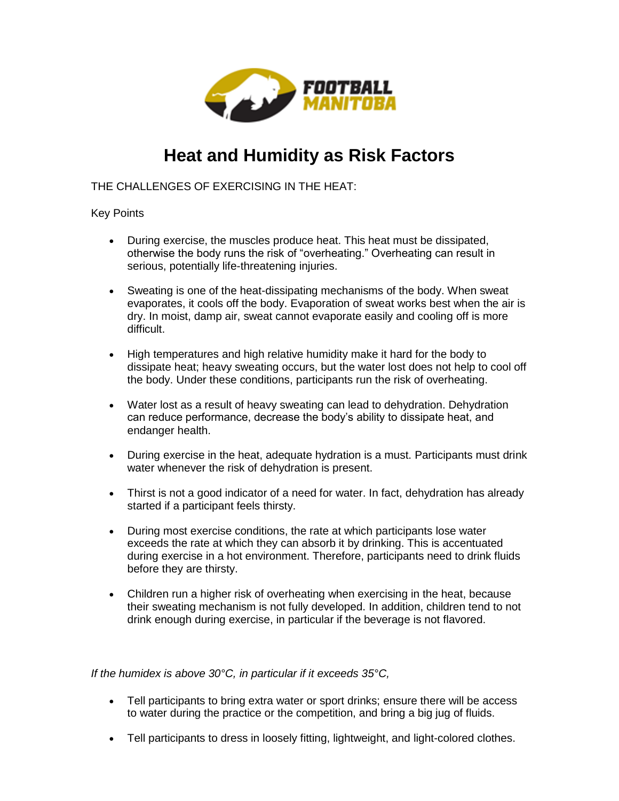

## **Heat and Humidity as Risk Factors**

THE CHALLENGES OF EXERCISING IN THE HEAT:

## Key Points

- During exercise, the muscles produce heat. This heat must be dissipated, otherwise the body runs the risk of "overheating." Overheating can result in serious, potentially life-threatening injuries.
- Sweating is one of the heat-dissipating mechanisms of the body. When sweat evaporates, it cools off the body. Evaporation of sweat works best when the air is dry. In moist, damp air, sweat cannot evaporate easily and cooling off is more difficult.
- High temperatures and high relative humidity make it hard for the body to dissipate heat; heavy sweating occurs, but the water lost does not help to cool off the body. Under these conditions, participants run the risk of overheating.
- Water lost as a result of heavy sweating can lead to dehydration. Dehydration can reduce performance, decrease the body's ability to dissipate heat, and endanger health.
- During exercise in the heat, adequate hydration is a must. Participants must drink water whenever the risk of dehydration is present.
- Thirst is not a good indicator of a need for water. In fact, dehydration has already started if a participant feels thirsty.
- During most exercise conditions, the rate at which participants lose water exceeds the rate at which they can absorb it by drinking. This is accentuated during exercise in a hot environment. Therefore, participants need to drink fluids before they are thirsty.
- Children run a higher risk of overheating when exercising in the heat, because their sweating mechanism is not fully developed. In addition, children tend to not drink enough during exercise, in particular if the beverage is not flavored.

*If the humidex is above 30°C, in particular if it exceeds 35°C,*

- Tell participants to bring extra water or sport drinks; ensure there will be access to water during the practice or the competition, and bring a big jug of fluids.
- Tell participants to dress in loosely fitting, lightweight, and light-colored clothes.